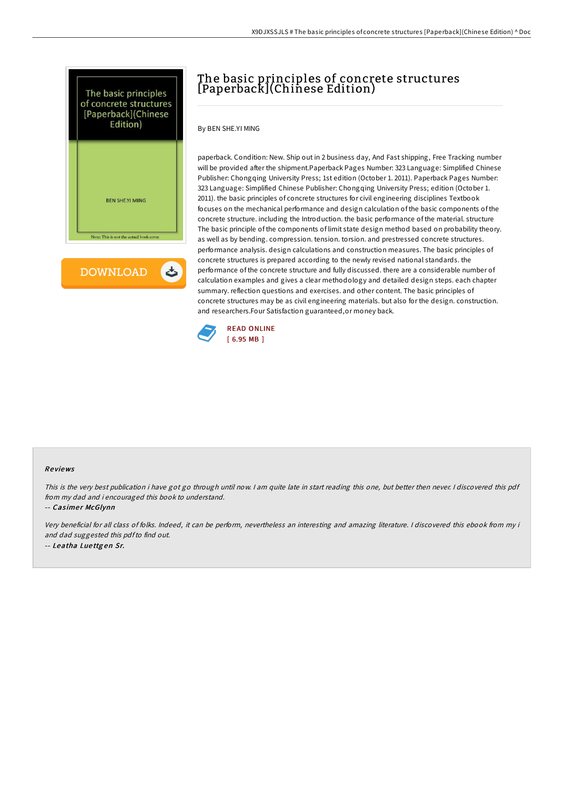



## The basic principles of concrete structures [Paperback](Chinese Edition)

By BEN SHE.YI MING

paperback. Condition: New. Ship out in 2 business day, And Fast shipping, Free Tracking number will be provided after the shipment.Paperback Pages Number: 323 Language: Simplified Chinese Publisher: Chongqing University Press; 1st edition (October 1. 2011). Paperback Pages Number: 323 Language: Simplified Chinese Publisher: Chongqing University Press; edition (October 1. 2011). the basic principles of concrete structures for civil engineering disciplines Textbook focuses on the mechanical performance and design calculation of the basic components of the concrete structure. including the Introduction. the basic performance of the material. structure The basic principle of the components of limit state design method based on probability theory. as well as by bending. compression. tension. torsion. and prestressed concrete structures. performance analysis. design calculations and construction measures. The basic principles of concrete structures is prepared according to the newly revised national standards. the performance of the concrete structure and fully discussed. there are a considerable number of calculation examples and gives a clear methodology and detailed design steps. each chapter summary. reflection questions and exercises. and other content. The basic principles of concrete structures may be as civil engineering materials. but also for the design. construction. and researchers.Four Satisfaction guaranteed,or money back.



## Re views

This is the very best publication i have got go through until now. <sup>I</sup> am quite late in start reading this one, but better then never. <sup>I</sup> discovered this pdf from my dad and i encouraged this book to understand.

-- Casimer McGlynn

Very beneficial for all class of folks. Indeed, it can be perform, nevertheless an interesting and amazing literature. <sup>I</sup> discovered this ebook from my i and dad suggested this pdfto find out. -- Leatha Lue ttg en Sr.